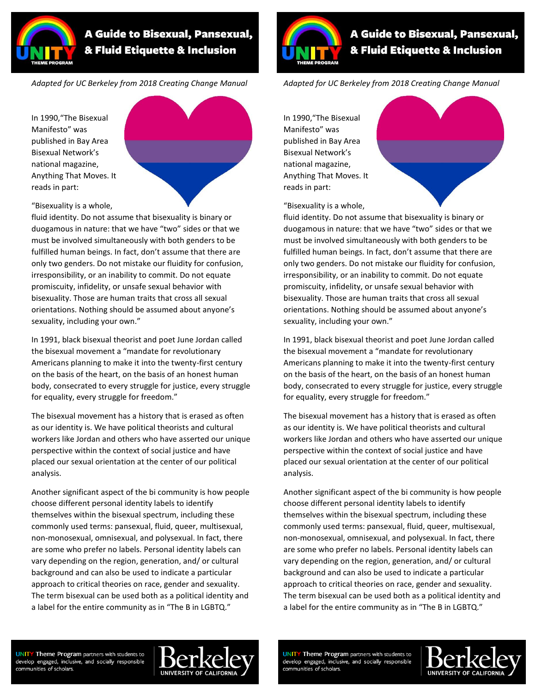

## **A Guide to Bisexual, Pansexual,** & Fluid Etiquette & Inclusion

*Adapted for UC Berkeley from 2018 Creating Change Manual*

In 1990,"The Bisexual Manifesto" was published in Bay Area Bisexual Network's national magazine, Anything That Moves. It reads in part:



"Bisexuality is a whole,

fluid identity. Do not assume that bisexuality is binary or duogamous in nature: that we have "two" sides or that we must be involved simultaneously with both genders to be fulfilled human beings. In fact, don't assume that there are only two genders. Do not mistake our fluidity for confusion, irresponsibility, or an inability to commit. Do not equate promiscuity, infidelity, or unsafe sexual behavior with bisexuality. Those are human traits that cross all sexual orientations. Nothing should be assumed about anyone's sexuality, including your own."

In 1991, black bisexual theorist and poet June Jordan called the bisexual movement a "mandate for revolutionary Americans planning to make it into the twenty-first century on the basis of the heart, on the basis of an honest human body, consecrated to every struggle for justice, every struggle for equality, every struggle for freedom."

The bisexual movement has a history that is erased as often as our identity is. We have political theorists and cultural workers like Jordan and others who have asserted our unique perspective within the context of social justice and have placed our sexual orientation at the center of our political analysis.

Another significant aspect of the bi community is how people choose different personal identity labels to identify themselves within the bisexual spectrum, including these commonly used terms: pansexual, fluid, queer, multisexual, non-monosexual, omnisexual, and polysexual. In fact, there are some who prefer no labels. Personal identity labels can vary depending on the region, generation, and/ or cultural background and can also be used to indicate a particular approach to critical theories on race, gender and sexuality. The term bisexual can be used both as a political identity and a label for the entire community as in "The B in LGBTQ."



## **A Guide to Bisexual, Pansexual,** & Fluid Etiquette & Inclusion

*Adapted for UC Berkeley from 2018 Creating Change Manual*

In 1990,"The Bisexual Manifesto" was published in Bay Area Bisexual Network's national magazine, Anything That Moves. It reads in part:



"Bisexuality is a whole,

fluid identity. Do not assume that bisexuality is binary or duogamous in nature: that we have "two" sides or that we must be involved simultaneously with both genders to be fulfilled human beings. In fact, don't assume that there are only two genders. Do not mistake our fluidity for confusion, irresponsibility, or an inability to commit. Do not equate promiscuity, infidelity, or unsafe sexual behavior with bisexuality. Those are human traits that cross all sexual orientations. Nothing should be assumed about anyone's sexuality, including your own."

In 1991, black bisexual theorist and poet June Jordan called the bisexual movement a "mandate for revolutionary Americans planning to make it into the twenty-first century on the basis of the heart, on the basis of an honest human body, consecrated to every struggle for justice, every struggle for equality, every struggle for freedom."

The bisexual movement has a history that is erased as often as our identity is. We have political theorists and cultural workers like Jordan and others who have asserted our unique perspective within the context of social justice and have placed our sexual orientation at the center of our political analysis.

Another significant aspect of the bi community is how people choose different personal identity labels to identify themselves within the bisexual spectrum, including these commonly used terms: pansexual, fluid, queer, multisexual, non-monosexual, omnisexual, and polysexual. In fact, there are some who prefer no labels. Personal identity labels can vary depending on the region, generation, and/ or cultural background and can also be used to indicate a particular approach to critical theories on race, gender and sexuality. The term bisexual can be used both as a political identity and a label for the entire community as in "The B in LGBTQ."

**UNITY Theme Program** partners with students to develop engaged, inclusive, and socially responsible communities of scholars.



**UNITY Theme Program** partners with students to develop engaged, inclusive, and socially responsible communities of scholars.